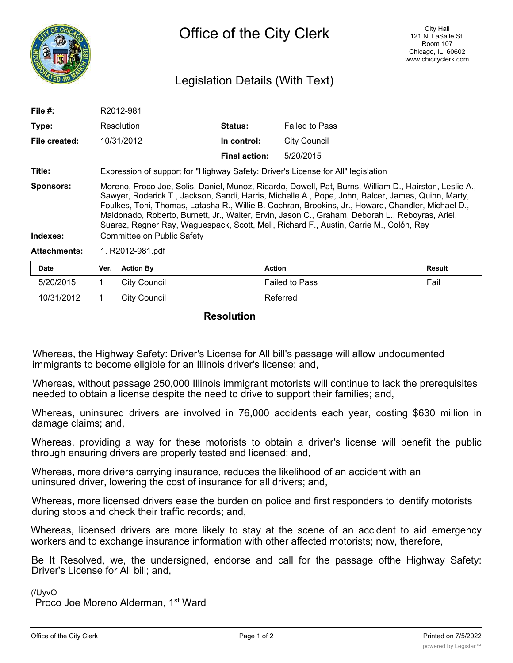

## Legislation Details (With Text)

| File $#$ :                   |                                                                                                                                                                                                                                                                                                                                                                                                                                                                                                                                               | R2012-981        |                      |                       |        |
|------------------------------|-----------------------------------------------------------------------------------------------------------------------------------------------------------------------------------------------------------------------------------------------------------------------------------------------------------------------------------------------------------------------------------------------------------------------------------------------------------------------------------------------------------------------------------------------|------------------|----------------------|-----------------------|--------|
| Type:                        |                                                                                                                                                                                                                                                                                                                                                                                                                                                                                                                                               | Resolution       | <b>Status:</b>       | <b>Failed to Pass</b> |        |
| File created:                |                                                                                                                                                                                                                                                                                                                                                                                                                                                                                                                                               | 10/31/2012       | In control:          | <b>City Council</b>   |        |
|                              |                                                                                                                                                                                                                                                                                                                                                                                                                                                                                                                                               |                  | <b>Final action:</b> | 5/20/2015             |        |
| Title:                       | Expression of support for "Highway Safety: Driver's License for All" legislation                                                                                                                                                                                                                                                                                                                                                                                                                                                              |                  |                      |                       |        |
| <b>Sponsors:</b><br>Indexes: | Moreno, Proco Joe, Solis, Daniel, Munoz, Ricardo, Dowell, Pat, Burns, William D., Hairston, Leslie A.,<br>Sawyer, Roderick T., Jackson, Sandi, Harris, Michelle A., Pope, John, Balcer, James, Quinn, Marty,<br>Foulkes, Toni, Thomas, Latasha R., Willie B. Cochran, Brookins, Jr., Howard, Chandler, Michael D.,<br>Maldonado, Roberto, Burnett, Jr., Walter, Ervin, Jason C., Graham, Deborah L., Reboyras, Ariel,<br>Suarez, Regner Ray, Waguespack, Scott, Mell, Richard F., Austin, Carrie M., Colón, Rey<br>Committee on Public Safety |                  |                      |                       |        |
| <b>Attachments:</b>          | 1. R2012-981.pdf                                                                                                                                                                                                                                                                                                                                                                                                                                                                                                                              |                  |                      |                       |        |
| <b>Date</b>                  | Ver.                                                                                                                                                                                                                                                                                                                                                                                                                                                                                                                                          | <b>Action By</b> | <b>Action</b>        |                       | Result |
| 5/20/2015                    |                                                                                                                                                                                                                                                                                                                                                                                                                                                                                                                                               | City Council     |                      | <b>Failed to Pass</b> | Fail   |

**Resolution**

10/31/2012 1 City Council **Referred** 

Whereas, the Highway Safety: Driver's License for All bill's passage will allow undocumented immigrants to become eligible for an Illinois driver's license; and,

Whereas, without passage 250,000 Illinois immigrant motorists will continue to lack the prerequisites needed to obtain a license despite the need to drive to support their families; and,

Whereas, uninsured drivers are involved in 76,000 accidents each year, costing \$630 million in damage claims; and,

Whereas, providing a way for these motorists to obtain a driver's license will benefit the public through ensuring drivers are properly tested and licensed; and,

Whereas, more drivers carrying insurance, reduces the likelihood of an accident with an uninsured driver, lowering the cost of insurance for all drivers; and,

Whereas, more licensed drivers ease the burden on police and first responders to identify motorists during stops and check their traffic records; and,

Whereas, licensed drivers are more likely to stay at the scene of an accident to aid emergency workers and to exchange insurance information with other affected motorists; now, therefore,

Be It Resolved, we, the undersigned, endorse and call for the passage ofthe Highway Safety: Driver's License for All bill; and,

(/UyvO

Proco Joe Moreno Alderman, 1<sup>st</sup> Ward